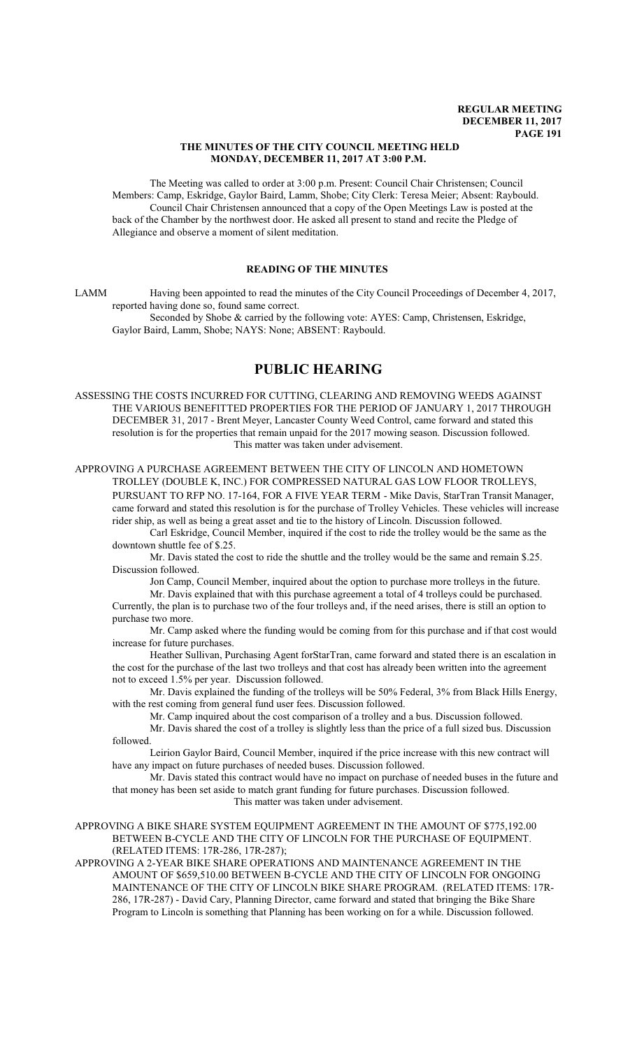### **THE MINUTES OF THE CITY COUNCIL MEETING HELD MONDAY, DECEMBER 11, 2017 AT 3:00 P.M.**

The Meeting was called to order at 3:00 p.m. Present: Council Chair Christensen; Council Members: Camp, Eskridge, Gaylor Baird, Lamm, Shobe; City Clerk: Teresa Meier; Absent: Raybould. Council Chair Christensen announced that a copy of the Open Meetings Law is posted at the back of the Chamber by the northwest door. He asked all present to stand and recite the Pledge of Allegiance and observe a moment of silent meditation.

# **READING OF THE MINUTES**

LAMM Having been appointed to read the minutes of the City Council Proceedings of December 4, 2017, reported having done so, found same correct.

Seconded by Shobe & carried by the following vote: AYES: Camp, Christensen, Eskridge, Gaylor Baird, Lamm, Shobe; NAYS: None; ABSENT: Raybould.

# **PUBLIC HEARING**

ASSESSING THE COSTS INCURRED FOR CUTTING, CLEARING AND REMOVING WEEDS AGAINST THE VARIOUS BENEFITTED PROPERTIES FOR THE PERIOD OF JANUARY 1, 2017 THROUGH DECEMBER 31, 2017 - Brent Meyer, Lancaster County Weed Control, came forward and stated this resolution is for the properties that remain unpaid for the 2017 mowing season. Discussion followed. This matter was taken under advisement.

APPROVING A PURCHASE AGREEMENT BETWEEN THE CITY OF LINCOLN AND HOMETOWN TROLLEY (DOUBLE K, INC.) FOR COMPRESSED NATURAL GAS LOW FLOOR TROLLEYS, PURSUANT TO RFP NO. 17-164, FOR A FIVE YEAR TERM - Mike Davis, StarTran Transit Manager, came forward and stated this resolution is for the purchase of Trolley Vehicles. These vehicles will increase rider ship, as well as being a great asset and tie to the history of Lincoln. Discussion followed.

Carl Eskridge, Council Member, inquired if the cost to ride the trolley would be the same as the downtown shuttle fee of \$.25.

Mr. Davis stated the cost to ride the shuttle and the trolley would be the same and remain \$.25. Discussion followed.

Jon Camp, Council Member, inquired about the option to purchase more trolleys in the future.

Mr. Davis explained that with this purchase agreement a total of 4 trolleys could be purchased. Currently, the plan is to purchase two of the four trolleys and, if the need arises, there is still an option to purchase two more.

Mr. Camp asked where the funding would be coming from for this purchase and if that cost would increase for future purchases.

Heather Sullivan, Purchasing Agent forStarTran, came forward and stated there is an escalation in the cost for the purchase of the last two trolleys and that cost has already been written into the agreement not to exceed 1.5% per year. Discussion followed.

Mr. Davis explained the funding of the trolleys will be 50% Federal, 3% from Black Hills Energy, with the rest coming from general fund user fees. Discussion followed.

Mr. Camp inquired about the cost comparison of a trolley and a bus. Discussion followed.

Mr. Davis shared the cost of a trolley is slightly less than the price of a full sized bus. Discussion followed.

Leirion Gaylor Baird, Council Member, inquired if the price increase with this new contract will have any impact on future purchases of needed buses. Discussion followed.

Mr. Davis stated this contract would have no impact on purchase of needed buses in the future and that money has been set aside to match grant funding for future purchases. Discussion followed. This matter was taken under advisement.

APPROVING A BIKE SHARE SYSTEM EQUIPMENT AGREEMENT IN THE AMOUNT OF \$775,192.00 BETWEEN B-CYCLE AND THE CITY OF LINCOLN FOR THE PURCHASE OF EQUIPMENT. (RELATED ITEMS: 17R-286, 17R-287);

APPROVING A 2-YEAR BIKE SHARE OPERATIONS AND MAINTENANCE AGREEMENT IN THE AMOUNT OF \$659,510.00 BETWEEN B-CYCLE AND THE CITY OF LINCOLN FOR ONGOING MAINTENANCE OF THE CITY OF LINCOLN BIKE SHARE PROGRAM. (RELATED ITEMS: 17R-286, 17R-287) - David Cary, Planning Director, came forward and stated that bringing the Bike Share Program to Lincoln is something that Planning has been working on for a while. Discussion followed.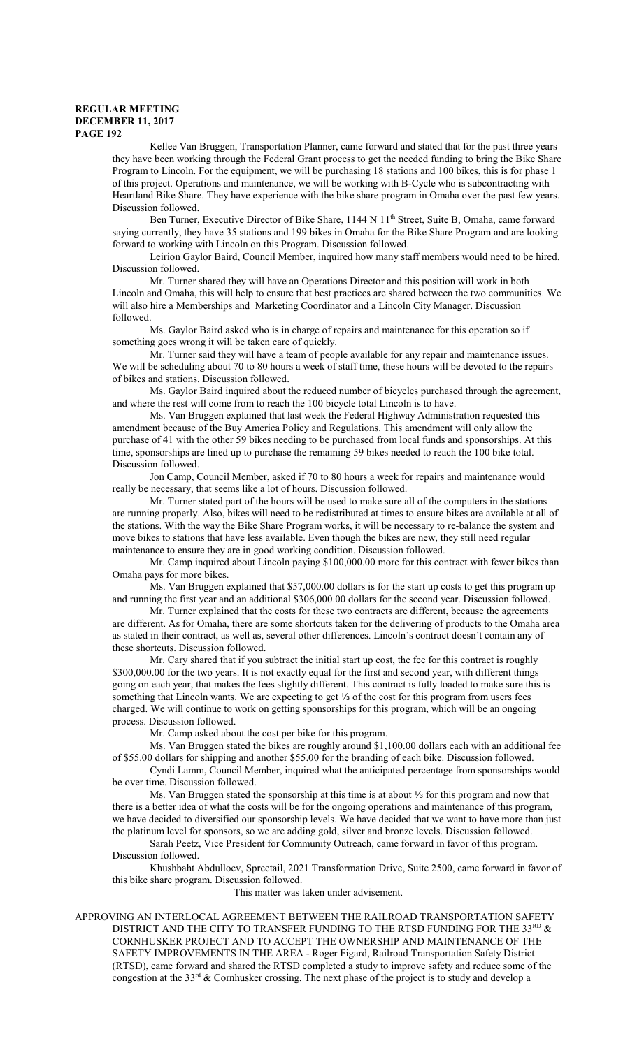Kellee Van Bruggen, Transportation Planner, came forward and stated that for the past three years they have been working through the Federal Grant process to get the needed funding to bring the Bike Share Program to Lincoln. For the equipment, we will be purchasing 18 stations and 100 bikes, this is for phase 1 of this project. Operations and maintenance, we will be working with B-Cycle who is subcontracting with Heartland Bike Share. They have experience with the bike share program in Omaha over the past few years. Discussion followed.

Ben Turner, Executive Director of Bike Share, 1144 N 11<sup>th</sup> Street, Suite B, Omaha, came forward saying currently, they have 35 stations and 199 bikes in Omaha for the Bike Share Program and are looking forward to working with Lincoln on this Program. Discussion followed.

Leirion Gaylor Baird, Council Member, inquired how many staff members would need to be hired. Discussion followed.

Mr. Turner shared they will have an Operations Director and this position will work in both Lincoln and Omaha, this will help to ensure that best practices are shared between the two communities. We will also hire a Memberships and Marketing Coordinator and a Lincoln City Manager. Discussion followed.

Ms. Gaylor Baird asked who is in charge of repairs and maintenance for this operation so if something goes wrong it will be taken care of quickly.

Mr. Turner said they will have a team of people available for any repair and maintenance issues. We will be scheduling about 70 to 80 hours a week of staff time, these hours will be devoted to the repairs of bikes and stations. Discussion followed.

Ms. Gaylor Baird inquired about the reduced number of bicycles purchased through the agreement, and where the rest will come from to reach the 100 bicycle total Lincoln is to have.

Ms. Van Bruggen explained that last week the Federal Highway Administration requested this amendment because of the Buy America Policy and Regulations. This amendment will only allow the purchase of 41 with the other 59 bikes needing to be purchased from local funds and sponsorships. At this time, sponsorships are lined up to purchase the remaining 59 bikes needed to reach the 100 bike total. Discussion followed.

Jon Camp, Council Member, asked if 70 to 80 hours a week for repairs and maintenance would really be necessary, that seems like a lot of hours. Discussion followed.

Mr. Turner stated part of the hours will be used to make sure all of the computers in the stations are running properly. Also, bikes will need to be redistributed at times to ensure bikes are available at all of the stations. With the way the Bike Share Program works, it will be necessary to re-balance the system and move bikes to stations that have less available. Even though the bikes are new, they still need regular maintenance to ensure they are in good working condition. Discussion followed.

Mr. Camp inquired about Lincoln paying \$100,000.00 more for this contract with fewer bikes than Omaha pays for more bikes.

Ms. Van Bruggen explained that \$57,000.00 dollars is for the start up costs to get this program up and running the first year and an additional \$306,000.00 dollars for the second year. Discussion followed.

Mr. Turner explained that the costs for these two contracts are different, because the agreements are different. As for Omaha, there are some shortcuts taken for the delivering of products to the Omaha area as stated in their contract, as well as, several other differences. Lincoln's contract doesn't contain any of these shortcuts. Discussion followed.

Mr. Cary shared that if you subtract the initial start up cost, the fee for this contract is roughly \$300,000.00 for the two years. It is not exactly equal for the first and second year, with different things going on each year, that makes the fees slightly different. This contract is fully loaded to make sure this is something that Lincoln wants. We are expecting to get 1/3 of the cost for this program from users fees charged. We will continue to work on getting sponsorships for this program, which will be an ongoing process. Discussion followed.

Mr. Camp asked about the cost per bike for this program.

Ms. Van Bruggen stated the bikes are roughly around \$1,100.00 dollars each with an additional fee of \$55.00 dollars for shipping and another \$55.00 for the branding of each bike. Discussion followed.

Cyndi Lamm, Council Member, inquired what the anticipated percentage from sponsorships would be over time. Discussion followed.

Ms. Van Bruggen stated the sponsorship at this time is at about 1/3 for this program and now that there is a better idea of what the costs will be for the ongoing operations and maintenance of this program, we have decided to diversified our sponsorship levels. We have decided that we want to have more than just the platinum level for sponsors, so we are adding gold, silver and bronze levels. Discussion followed.

Sarah Peetz, Vice President for Community Outreach, came forward in favor of this program. Discussion followed.

Khushbaht Abdulloev, Spreetail, 2021 Transformation Drive, Suite 2500, came forward in favor of this bike share program. Discussion followed.

This matter was taken under advisement.

APPROVING AN INTERLOCAL AGREEMENT BETWEEN THE RAILROAD TRANSPORTATION SAFETY DISTRICT AND THE CITY TO TRANSFER FUNDING TO THE RTSD FUNDING FOR THE 33 $^{\text{\tiny RD}}$  & CORNHUSKER PROJECT AND TO ACCEPT THE OWNERSHIP AND MAINTENANCE OF THE SAFETY IMPROVEMENTS IN THE AREA - Roger Figard, Railroad Transportation Safety District (RTSD), came forward and shared the RTSD completed a study to improve safety and reduce some of the congestion at the  $33<sup>rd</sup>$  & Cornhusker crossing. The next phase of the project is to study and develop a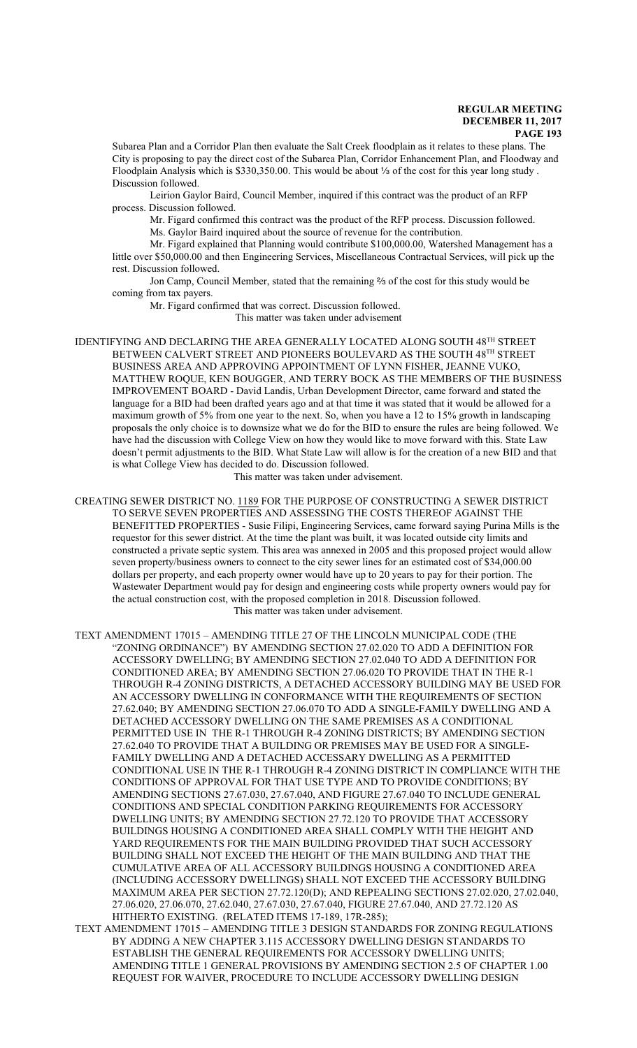Subarea Plan and a Corridor Plan then evaluate the Salt Creek floodplain as it relates to these plans. The City is proposing to pay the direct cost of the Subarea Plan, Corridor Enhancement Plan, and Floodway and Floodplain Analysis which is \$330,350.00. This would be about 1/3 of the cost for this year long study. Discussion followed.

Leirion Gaylor Baird, Council Member, inquired if this contract was the product of an RFP process. Discussion followed.

Mr. Figard confirmed this contract was the product of the RFP process. Discussion followed. Ms. Gaylor Baird inquired about the source of revenue for the contribution.

Mr. Figard explained that Planning would contribute \$100,000.00, Watershed Management has a little over \$50,000.00 and then Engineering Services, Miscellaneous Contractual Services, will pick up the rest. Discussion followed.

Jon Camp, Council Member, stated that the remaining  $\frac{2}{3}$  of the cost for this study would be coming from tax payers.

Mr. Figard confirmed that was correct. Discussion followed.

This matter was taken under advisement

IDENTIFYING AND DECLARING THE AREA GENERALLY LOCATED ALONG SOUTH 48<sup>th</sup> STREET BETWEEN CALVERT STREET AND PIONEERS BOULEVARD AS THE SOUTH 48<sup>TH</sup> STREET BUSINESS AREA AND APPROVING APPOINTMENT OF LYNN FISHER, JEANNE VUKO, MATTHEW ROQUE, KEN BOUGGER, AND TERRY BOCK AS THE MEMBERS OF THE BUSINESS IMPROVEMENT BOARD - David Landis, Urban Development Director, came forward and stated the language for a BID had been drafted years ago and at that time it was stated that it would be allowed for a maximum growth of 5% from one year to the next. So, when you have a 12 to 15% growth in landscaping proposals the only choice is to downsize what we do for the BID to ensure the rules are being followed. We have had the discussion with College View on how they would like to move forward with this. State Law doesn't permit adjustments to the BID. What State Law will allow is for the creation of a new BID and that is what College View has decided to do. Discussion followed.

This matter was taken under advisement.

CREATING SEWER DISTRICT NO. 1189 FOR THE PURPOSE OF CONSTRUCTING A SEWER DISTRICT TO SERVE SEVEN PROPERTIES AND ASSESSING THE COSTS THEREOF AGAINST THE BENEFITTED PROPERTIES - Susie Filipi, Engineering Services, came forward saying Purina Mills is the requestor for this sewer district. At the time the plant was built, it was located outside city limits and constructed a private septic system. This area was annexed in 2005 and this proposed project would allow seven property/business owners to connect to the city sewer lines for an estimated cost of \$34,000.00 dollars per property, and each property owner would have up to 20 years to pay for their portion. The Wastewater Department would pay for design and engineering costs while property owners would pay for the actual construction cost, with the proposed completion in 2018. Discussion followed. This matter was taken under advisement.

TEXT AMENDMENT 17015 – AMENDING TITLE 27 OF THE LINCOLN MUNICIPAL CODE (THE "ZONING ORDINANCE") BY AMENDING SECTION 27.02.020 TO ADD A DEFINITION FOR ACCESSORY DWELLING; BY AMENDING SECTION 27.02.040 TO ADD A DEFINITION FOR CONDITIONED AREA; BY AMENDING SECTION 27.06.020 TO PROVIDE THAT IN THE R-1 THROUGH R-4 ZONING DISTRICTS, A DETACHED ACCESSORY BUILDING MAY BE USED FOR AN ACCESSORY DWELLING IN CONFORMANCE WITH THE REQUIREMENTS OF SECTION 27.62.040; BY AMENDING SECTION 27.06.070 TO ADD A SINGLE-FAMILY DWELLING AND A DETACHED ACCESSORY DWELLING ON THE SAME PREMISES AS A CONDITIONAL PERMITTED USE IN THE R-1 THROUGH R-4 ZONING DISTRICTS; BY AMENDING SECTION 27.62.040 TO PROVIDE THAT A BUILDING OR PREMISES MAY BE USED FOR A SINGLE-FAMILY DWELLING AND A DETACHED ACCESSARY DWELLING AS A PERMITTED CONDITIONAL USE IN THE R-1 THROUGH R-4 ZONING DISTRICT IN COMPLIANCE WITH THE CONDITIONS OF APPROVAL FOR THAT USE TYPE AND TO PROVIDE CONDITIONS; BY AMENDING SECTIONS 27.67.030, 27.67.040, AND FIGURE 27.67.040 TO INCLUDE GENERAL CONDITIONS AND SPECIAL CONDITION PARKING REQUIREMENTS FOR ACCESSORY DWELLING UNITS; BY AMENDING SECTION 27.72.120 TO PROVIDE THAT ACCESSORY BUILDINGS HOUSING A CONDITIONED AREA SHALL COMPLY WITH THE HEIGHT AND YARD REQUIREMENTS FOR THE MAIN BUILDING PROVIDED THAT SUCH ACCESSORY BUILDING SHALL NOT EXCEED THE HEIGHT OF THE MAIN BUILDING AND THAT THE CUMULATIVE AREA OF ALL ACCESSORY BUILDINGS HOUSING A CONDITIONED AREA (INCLUDING ACCESSORY DWELLINGS) SHALL NOT EXCEED THE ACCESSORY BUILDING MAXIMUM AREA PER SECTION 27.72.120(D); AND REPEALING SECTIONS 27.02.020, 27.02.040, 27.06.020, 27.06.070, 27.62.040, 27.67.030, 27.67.040, FIGURE 27.67.040, AND 27.72.120 AS HITHERTO EXISTING. (RELATED ITEMS 17-189, 17R-285);

TEXT AMENDMENT 17015 – AMENDING TITLE 3 DESIGN STANDARDS FOR ZONING REGULATIONS BY ADDING A NEW CHAPTER 3.115 ACCESSORY DWELLING DESIGN STANDARDS TO ESTABLISH THE GENERAL REQUIREMENTS FOR ACCESSORY DWELLING UNITS; AMENDING TITLE 1 GENERAL PROVISIONS BY AMENDING SECTION 2.5 OF CHAPTER 1.00 REQUEST FOR WAIVER, PROCEDURE TO INCLUDE ACCESSORY DWELLING DESIGN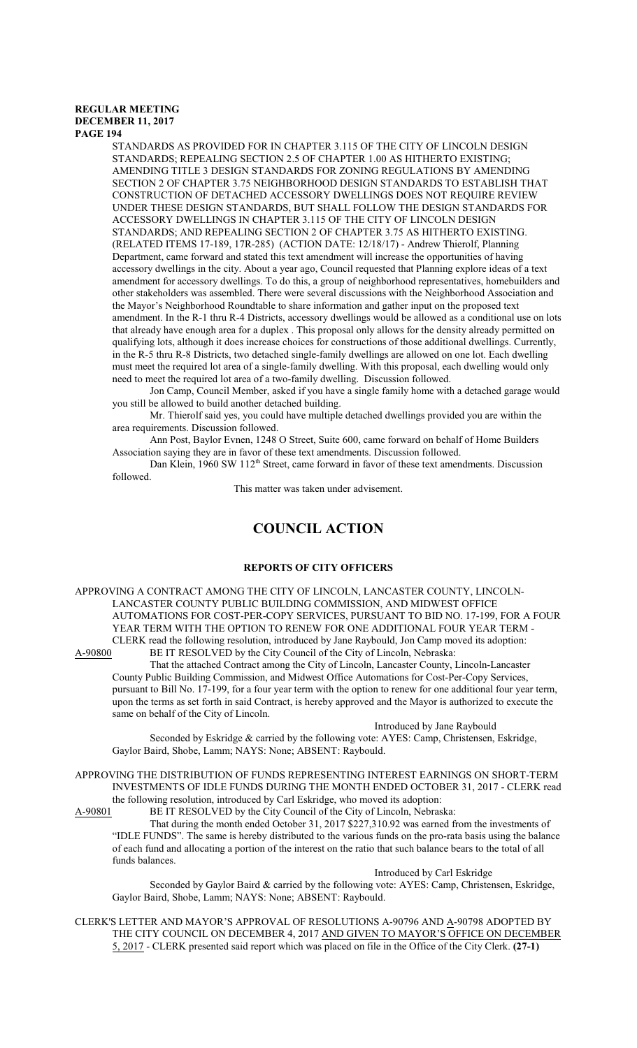STANDARDS AS PROVIDED FOR IN CHAPTER 3.115 OF THE CITY OF LINCOLN DESIGN STANDARDS; REPEALING SECTION 2.5 OF CHAPTER 1.00 AS HITHERTO EXISTING; AMENDING TITLE 3 DESIGN STANDARDS FOR ZONING REGULATIONS BY AMENDING SECTION 2 OF CHAPTER 3.75 NEIGHBORHOOD DESIGN STANDARDS TO ESTABLISH THAT CONSTRUCTION OF DETACHED ACCESSORY DWELLINGS DOES NOT REQUIRE REVIEW UNDER THESE DESIGN STANDARDS, BUT SHALL FOLLOW THE DESIGN STANDARDS FOR ACCESSORY DWELLINGS IN CHAPTER 3.115 OF THE CITY OF LINCOLN DESIGN STANDARDS; AND REPEALING SECTION 2 OF CHAPTER 3.75 AS HITHERTO EXISTING. (RELATED ITEMS 17-189, 17R-285) (ACTION DATE: 12/18/17) - Andrew Thierolf, Planning Department, came forward and stated this text amendment will increase the opportunities of having accessory dwellings in the city. About a year ago, Council requested that Planning explore ideas of a text amendment for accessory dwellings. To do this, a group of neighborhood representatives, homebuilders and other stakeholders was assembled. There were several discussions with the Neighborhood Association and the Mayor's Neighborhood Roundtable to share information and gather input on the proposed text amendment. In the R-1 thru R-4 Districts, accessory dwellings would be allowed as a conditional use on lots that already have enough area for a duplex . This proposal only allows for the density already permitted on qualifying lots, although it does increase choices for constructions of those additional dwellings. Currently, in the R-5 thru R-8 Districts, two detached single-family dwellings are allowed on one lot. Each dwelling must meet the required lot area of a single-family dwelling. With this proposal, each dwelling would only need to meet the required lot area of a two-family dwelling. Discussion followed.

Jon Camp, Council Member, asked if you have a single family home with a detached garage would you still be allowed to build another detached building.

Mr. Thierolf said yes, you could have multiple detached dwellings provided you are within the area requirements. Discussion followed.

Ann Post, Baylor Evnen, 1248 O Street, Suite 600, came forward on behalf of Home Builders Association saying they are in favor of these text amendments. Discussion followed.

Dan Klein, 1960 SW 112<sup>th</sup> Street, came forward in favor of these text amendments. Discussion followed.

This matter was taken under advisement.

# **COUNCIL ACTION**

### **REPORTS OF CITY OFFICERS**

APPROVING A CONTRACT AMONG THE CITY OF LINCOLN, LANCASTER COUNTY, LINCOLN-LANCASTER COUNTY PUBLIC BUILDING COMMISSION, AND MIDWEST OFFICE AUTOMATIONS FOR COST-PER-COPY SERVICES, PURSUANT TO BID NO. 17-199, FOR A FOUR YEAR TERM WITH THE OPTION TO RENEW FOR ONE ADDITIONAL FOUR YEAR TERM - CLERK read the following resolution, introduced by Jane Raybould, Jon Camp moved its adoption:

A-90800 BE IT RESOLVED by the City Council of the City of Lincoln, Nebraska: That the attached Contract among the City of Lincoln, Lancaster County, Lincoln-Lancaster County Public Building Commission, and Midwest Office Automations for Cost-Per-Copy Services, pursuant to Bill No. 17-199, for a four year term with the option to renew for one additional four year term, upon the terms as set forth in said Contract, is hereby approved and the Mayor is authorized to execute the same on behalf of the City of Lincoln.

Introduced by Jane Raybould

Seconded by Eskridge & carried by the following vote: AYES: Camp, Christensen, Eskridge, Gaylor Baird, Shobe, Lamm; NAYS: None; ABSENT: Raybould.

APPROVING THE DISTRIBUTION OF FUNDS REPRESENTING INTEREST EARNINGS ON SHORT-TERM INVESTMENTS OF IDLE FUNDS DURING THE MONTH ENDED OCTOBER 31, 2017 - CLERK read the following resolution, introduced by Carl Eskridge, who moved its adoption:<br>A-90801 BE IT RESOLVED by the City Council of the City of Lincoln, Nebras

BE IT RESOLVED by the City Council of the City of Lincoln, Nebraska:

That during the month ended October 31, 2017 \$227,310.92 was earned from the investments of "IDLE FUNDS". The same is hereby distributed to the various funds on the pro-rata basis using the balance of each fund and allocating a portion of the interest on the ratio that such balance bears to the total of all funds balances.

Introduced by Carl Eskridge

Seconded by Gaylor Baird & carried by the following vote: AYES: Camp, Christensen, Eskridge, Gaylor Baird, Shobe, Lamm; NAYS: None; ABSENT: Raybould.

CLERK'S LETTER AND MAYOR'S APPROVAL OF RESOLUTIONS A-90796 AND A-90798 ADOPTED BY THE CITY COUNCIL ON DECEMBER 4, 2017 AND GIVEN TO MAYOR'S OFFICE ON DECEMBER 5, 2017 - CLERK presented said report which was placed on file in the Office of the City Clerk. **(27-1)**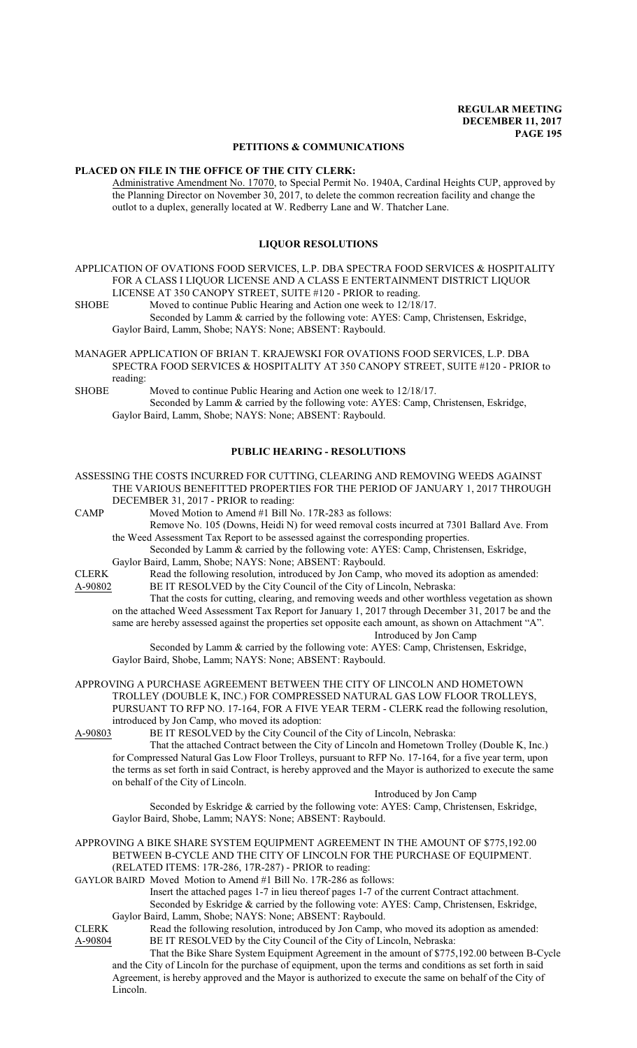### **PETITIONS & COMMUNICATIONS**

### **PLACED ON FILE IN THE OFFICE OF THE CITY CLERK:**

Administrative Amendment No. 17070, to Special Permit No. 1940A, Cardinal Heights CUP, approved by the Planning Director on November 30, 2017, to delete the common recreation facility and change the outlot to a duplex, generally located at W. Redberry Lane and W. Thatcher Lane.

## **LIQUOR RESOLUTIONS**

APPLICATION OF OVATIONS FOOD SERVICES, L.P. DBA SPECTRA FOOD SERVICES & HOSPITALITY FOR A CLASS I LIQUOR LICENSE AND A CLASS E ENTERTAINMENT DISTRICT LIQUOR LICENSE AT 350 CANOPY STREET, SUITE #120 - PRIOR to reading.

SHOBE Moved to continue Public Hearing and Action one week to 12/18/17. Seconded by Lamm & carried by the following vote: AYES: Camp, Christensen, Eskridge, Gaylor Baird, Lamm, Shobe; NAYS: None; ABSENT: Raybould.

MANAGER APPLICATION OF BRIAN T. KRAJEWSKI FOR OVATIONS FOOD SERVICES, L.P. DBA SPECTRA FOOD SERVICES & HOSPITALITY AT 350 CANOPY STREET, SUITE #120 - PRIOR to reading:

SHOBE Moved to continue Public Hearing and Action one week to 12/18/17. Seconded by Lamm & carried by the following vote: AYES: Camp, Christensen, Eskridge, Gaylor Baird, Lamm, Shobe; NAYS: None; ABSENT: Raybould.

### **PUBLIC HEARING - RESOLUTIONS**

ASSESSING THE COSTS INCURRED FOR CUTTING, CLEARING AND REMOVING WEEDS AGAINST THE VARIOUS BENEFITTED PROPERTIES FOR THE PERIOD OF JANUARY 1, 2017 THROUGH DECEMBER 31, 2017 - PRIOR to reading:

CAMP Moved Motion to Amend #1 Bill No. 17R-283 as follows:

Remove No. 105 (Downs, Heidi N) for weed removal costs incurred at 7301 Ballard Ave. From the Weed Assessment Tax Report to be assessed against the corresponding properties.

Seconded by Lamm & carried by the following vote: AYES: Camp, Christensen, Eskridge, Gaylor Baird, Lamm, Shobe; NAYS: None; ABSENT: Raybould.

CLERK Read the following resolution, introduced by Jon Camp, who moved its adoption as amended: A-90802 BE IT RESOLVED by the City Council of the City of Lincoln, Nebraska: That the costs for cutting, clearing, and removing weeds and other worthless vegetation as shown

on the attached Weed Assessment Tax Report for January 1, 2017 through December 31, 2017 be and the same are hereby assessed against the properties set opposite each amount, as shown on Attachment "A". Introduced by Jon Camp

Seconded by Lamm & carried by the following vote: AYES: Camp, Christensen, Eskridge, Gaylor Baird, Shobe, Lamm; NAYS: None; ABSENT: Raybould.

APPROVING A PURCHASE AGREEMENT BETWEEN THE CITY OF LINCOLN AND HOMETOWN TROLLEY (DOUBLE K, INC.) FOR COMPRESSED NATURAL GAS LOW FLOOR TROLLEYS, PURSUANT TO RFP NO. 17-164, FOR A FIVE YEAR TERM - CLERK read the following resolution, introduced by Jon Camp, who moved its adoption:<br>A-90803 BE IT RESOLVED by the City Council of

BE IT RESOLVED by the City Council of the City of Lincoln, Nebraska:

That the attached Contract between the City of Lincoln and Hometown Trolley (Double K, Inc.) for Compressed Natural Gas Low Floor Trolleys, pursuant to RFP No. 17-164, for a five year term, upon the terms as set forth in said Contract, is hereby approved and the Mayor is authorized to execute the same on behalf of the City of Lincoln.

Introduced by Jon Camp

Seconded by Eskridge & carried by the following vote: AYES: Camp, Christensen, Eskridge, Gaylor Baird, Shobe, Lamm; NAYS: None; ABSENT: Raybould.

APPROVING A BIKE SHARE SYSTEM EQUIPMENT AGREEMENT IN THE AMOUNT OF \$775,192.00 BETWEEN B-CYCLE AND THE CITY OF LINCOLN FOR THE PURCHASE OF EQUIPMENT. (RELATED ITEMS: 17R-286, 17R-287) - PRIOR to reading:

GAYLOR BAIRD Moved Motion to Amend #1 Bill No. 17R-286 as follows:

Insert the attached pages 1-7 in lieu thereof pages 1-7 of the current Contract attachment. Seconded by Eskridge & carried by the following vote: AYES: Camp, Christensen, Eskridge, Gaylor Baird, Lamm, Shobe; NAYS: None; ABSENT: Raybould.

CLERK Read the following resolution, introduced by Jon Camp, who moved its adoption as amended:<br>A-90804 BE IT RESOLVED by the City Council of the City of Lincoln, Nebraska: BE IT RESOLVED by the City Council of the City of Lincoln, Nebraska:

That the Bike Share System Equipment Agreement in the amount of \$775,192.00 between B-Cycle and the City of Lincoln for the purchase of equipment, upon the terms and conditions as set forth in said Agreement, is hereby approved and the Mayor is authorized to execute the same on behalf of the City of Lincoln.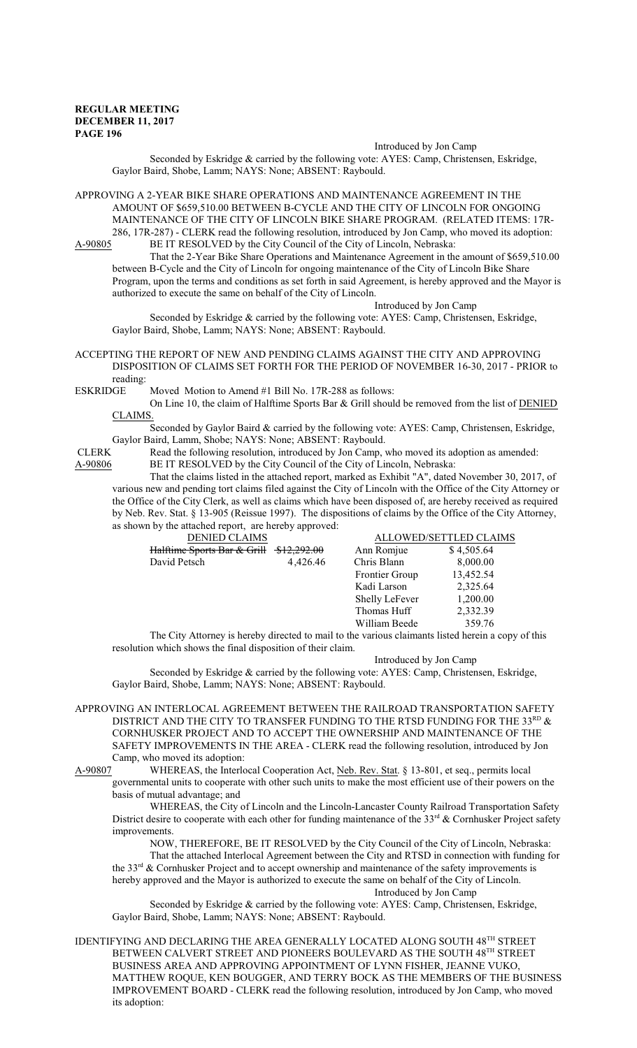#### Introduced by Jon Camp

Seconded by Eskridge & carried by the following vote: AYES: Camp, Christensen, Eskridge, Gaylor Baird, Shobe, Lamm; NAYS: None; ABSENT: Raybould.

APPROVING A 2-YEAR BIKE SHARE OPERATIONS AND MAINTENANCE AGREEMENT IN THE AMOUNT OF \$659,510.00 BETWEEN B-CYCLE AND THE CITY OF LINCOLN FOR ONGOING MAINTENANCE OF THE CITY OF LINCOLN BIKE SHARE PROGRAM. (RELATED ITEMS: 17R-286, 17R-287) - CLERK read the following resolution, introduced by Jon Camp, who moved its adoption:<br>A-90805 BE IT RESOLVED by the City Council of the City of Lincoln, Nebraska: BE IT RESOLVED by the City Council of the City of Lincoln, Nebraska:

That the 2-Year Bike Share Operations and Maintenance Agreement in the amount of \$659,510.00 between B-Cycle and the City of Lincoln for ongoing maintenance of the City of Lincoln Bike Share Program, upon the terms and conditions as set forth in said Agreement, is hereby approved and the Mayor is authorized to execute the same on behalf of the City of Lincoln.

Introduced by Jon Camp

Seconded by Eskridge & carried by the following vote: AYES: Camp, Christensen, Eskridge, Gaylor Baird, Shobe, Lamm; NAYS: None; ABSENT: Raybould.

### ACCEPTING THE REPORT OF NEW AND PENDING CLAIMS AGAINST THE CITY AND APPROVING DISPOSITION OF CLAIMS SET FORTH FOR THE PERIOD OF NOVEMBER 16-30, 2017 - PRIOR to reading:

ESKRIDGE Moved Motion to Amend #1 Bill No. 17R-288 as follows:

On Line 10, the claim of Halftime Sports Bar & Grill should be removed from the list of DENIED CLAIMS.

Seconded by Gaylor Baird & carried by the following vote: AYES: Camp, Christensen, Eskridge, Gaylor Baird, Lamm, Shobe; NAYS: None; ABSENT: Raybould.<br>CLERK Read the following resolution. introduced by Jon Camp.

Read the following resolution, introduced by Jon Camp, who moved its adoption as amended: A-90806 BE IT RESOLVED by the City Council of the City of Lincoln, Nebraska:

That the claims listed in the attached report, marked as Exhibit "A", dated November 30, 2017, of various new and pending tort claims filed against the City of Lincoln with the Office of the City Attorney or the Office of the City Clerk, as well as claims which have been disposed of, are hereby received as required by Neb. Rev. Stat. § 13-905 (Reissue 1997). The dispositions of claims by the Office of the City Attorney, as shown by the attached report, are hereby approved:

|              | <b>DENIED CLAIMS</b>        |                        |                       | <b>ALLOWED/SETTLED CLAIMS</b> |  |
|--------------|-----------------------------|------------------------|-----------------------|-------------------------------|--|
|              | Halftime Sports Bar & Grill | <del>\$12,292.00</del> | Ann Romjue            | \$4,505.64                    |  |
| David Petsch |                             | 4,426.46               | Chris Blann           | 8,000.00                      |  |
|              |                             |                        | Frontier Group        | 13,452.54                     |  |
|              |                             |                        | Kadi Larson           | 2,325.64                      |  |
|              |                             |                        | <b>Shelly LeFever</b> | 1,200.00                      |  |
|              |                             |                        | Thomas Huff           | 2,332.39                      |  |
|              |                             |                        | William Beede         | 359.76                        |  |
|              |                             |                        |                       |                               |  |

The City Attorney is hereby directed to mail to the various claimants listed herein a copy of this resolution which shows the final disposition of their claim.

Introduced by Jon Camp

Seconded by Eskridge & carried by the following vote: AYES: Camp, Christensen, Eskridge, Gaylor Baird, Shobe, Lamm; NAYS: None; ABSENT: Raybould.

APPROVING AN INTERLOCAL AGREEMENT BETWEEN THE RAILROAD TRANSPORTATION SAFETY DISTRICT AND THE CITY TO TRANSFER FUNDING TO THE RTSD FUNDING FOR THE 33 $^{\text{\tiny RD}}$  & CORNHUSKER PROJECT AND TO ACCEPT THE OWNERSHIP AND MAINTENANCE OF THE SAFETY IMPROVEMENTS IN THE AREA - CLERK read the following resolution, introduced by Jon Camp, who moved its adoption:<br>A-90807 WHEREAS, the Interlo

WHEREAS, the Interlocal Cooperation Act, Neb. Rev. Stat. § 13-801, et seq., permits local governmental units to cooperate with other such units to make the most efficient use of their powers on the

basis of mutual advantage; and

WHEREAS, the City of Lincoln and the Lincoln-Lancaster County Railroad Transportation Safety District desire to cooperate with each other for funding maintenance of the 33<sup>rd</sup> & Cornhusker Project safety improvements.

NOW, THEREFORE, BE IT RESOLVED by the City Council of the City of Lincoln, Nebraska:

That the attached Interlocal Agreement between the City and RTSD in connection with funding for the 33<sup>rd</sup> & Cornhusker Project and to accept ownership and maintenance of the safety improvements is hereby approved and the Mayor is authorized to execute the same on behalf of the City of Lincoln. Introduced by Jon Camp

Seconded by Eskridge & carried by the following vote: AYES: Camp, Christensen, Eskridge, Gaylor Baird, Shobe, Lamm; NAYS: None; ABSENT: Raybould.

IDENTIFYING AND DECLARING THE AREA GENERALLY LOCATED ALONG SOUTH 48<sup>TH</sup> STREET BETWEEN CALVERT STREET AND PIONEERS BOULEVARD AS THE SOUTH  $48^{\mathrm{TH}}$  STREET BUSINESS AREA AND APPROVING APPOINTMENT OF LYNN FISHER, JEANNE VUKO, MATTHEW ROQUE, KEN BOUGGER, AND TERRY BOCK AS THE MEMBERS OF THE BUSINESS IMPROVEMENT BOARD - CLERK read the following resolution, introduced by Jon Camp, who moved its adoption: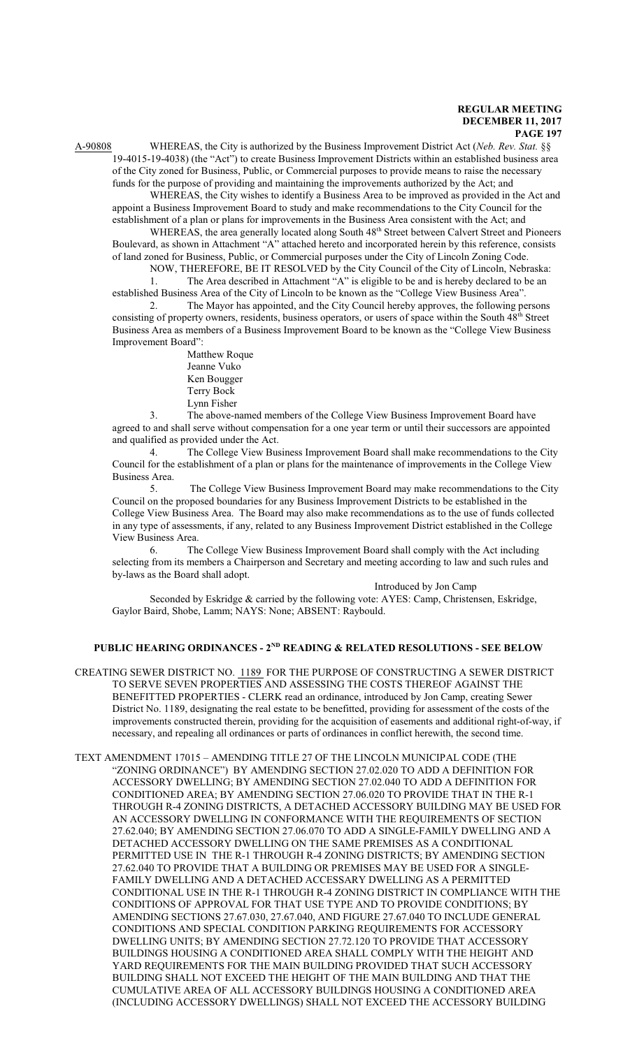A-90808 WHEREAS, the City is authorized by the Business Improvement District Act (*Neb. Rev. Stat.* §§ 19-4015-19-4038) (the "Act") to create Business Improvement Districts within an established business area of the City zoned for Business, Public, or Commercial purposes to provide means to raise the necessary funds for the purpose of providing and maintaining the improvements authorized by the Act; and

WHEREAS, the City wishes to identify a Business Area to be improved as provided in the Act and appoint a Business Improvement Board to study and make recommendations to the City Council for the establishment of a plan or plans for improvements in the Business Area consistent with the Act; and

WHEREAS, the area generally located along South 48<sup>th</sup> Street between Calvert Street and Pioneers Boulevard, as shown in Attachment "A" attached hereto and incorporated herein by this reference, consists of land zoned for Business, Public, or Commercial purposes under the City of Lincoln Zoning Code. NOW, THEREFORE, BE IT RESOLVED by the City Council of the City of Lincoln, Nebraska:

1. The Area described in Attachment "A" is eligible to be and is hereby declared to be an established Business Area of the City of Lincoln to be known as the "College View Business Area".

2. The Mayor has appointed, and the City Council hereby approves, the following persons consisting of property owners, residents, business operators, or users of space within the South 48<sup>th</sup> Street Business Area as members of a Business Improvement Board to be known as the "College View Business Improvement Board":

Matthew Roque Jeanne Vuko Ken Bougger Terry Bock Lynn Fisher

3. The above-named members of the College View Business Improvement Board have agreed to and shall serve without compensation for a one year term or until their successors are appointed and qualified as provided under the Act.

4. The College View Business Improvement Board shall make recommendations to the City Council for the establishment of a plan or plans for the maintenance of improvements in the College View Business Area.

5. The College View Business Improvement Board may make recommendations to the City Council on the proposed boundaries for any Business Improvement Districts to be established in the College View Business Area. The Board may also make recommendations as to the use of funds collected in any type of assessments, if any, related to any Business Improvement District established in the College View Business Area.

6. The College View Business Improvement Board shall comply with the Act including selecting from its members a Chairperson and Secretary and meeting according to law and such rules and by-laws as the Board shall adopt.

Introduced by Jon Camp

Seconded by Eskridge & carried by the following vote: AYES: Camp, Christensen, Eskridge, Gaylor Baird, Shobe, Lamm; NAYS: None; ABSENT: Raybould.

# **PUBLIC HEARING ORDINANCES - 2ND READING & RELATED RESOLUTIONS - SEE BELOW**

CREATING SEWER DISTRICT NO. 1189 FOR THE PURPOSE OF CONSTRUCTING A SEWER DISTRICT TO SERVE SEVEN PROPERTIES AND ASSESSING THE COSTS THEREOF AGAINST THE BENEFITTED PROPERTIES - CLERK read an ordinance, introduced by Jon Camp, creating Sewer District No. 1189, designating the real estate to be benefitted, providing for assessment of the costs of the improvements constructed therein, providing for the acquisition of easements and additional right-of-way, if necessary, and repealing all ordinances or parts of ordinances in conflict herewith, the second time.

TEXT AMENDMENT 17015 – AMENDING TITLE 27 OF THE LINCOLN MUNICIPAL CODE (THE "ZONING ORDINANCE") BY AMENDING SECTION 27.02.020 TO ADD A DEFINITION FOR ACCESSORY DWELLING; BY AMENDING SECTION 27.02.040 TO ADD A DEFINITION FOR CONDITIONED AREA; BY AMENDING SECTION 27.06.020 TO PROVIDE THAT IN THE R-1 THROUGH R-4 ZONING DISTRICTS, A DETACHED ACCESSORY BUILDING MAY BE USED FOR AN ACCESSORY DWELLING IN CONFORMANCE WITH THE REQUIREMENTS OF SECTION 27.62.040; BY AMENDING SECTION 27.06.070 TO ADD A SINGLE-FAMILY DWELLING AND A DETACHED ACCESSORY DWELLING ON THE SAME PREMISES AS A CONDITIONAL PERMITTED USE IN THE R-1 THROUGH R-4 ZONING DISTRICTS; BY AMENDING SECTION 27.62.040 TO PROVIDE THAT A BUILDING OR PREMISES MAY BE USED FOR A SINGLE-FAMILY DWELLING AND A DETACHED ACCESSARY DWELLING AS A PERMITTED CONDITIONAL USE IN THE R-1 THROUGH R-4 ZONING DISTRICT IN COMPLIANCE WITH THE CONDITIONS OF APPROVAL FOR THAT USE TYPE AND TO PROVIDE CONDITIONS; BY AMENDING SECTIONS 27.67.030, 27.67.040, AND FIGURE 27.67.040 TO INCLUDE GENERAL CONDITIONS AND SPECIAL CONDITION PARKING REQUIREMENTS FOR ACCESSORY DWELLING UNITS; BY AMENDING SECTION 27.72.120 TO PROVIDE THAT ACCESSORY BUILDINGS HOUSING A CONDITIONED AREA SHALL COMPLY WITH THE HEIGHT AND YARD REQUIREMENTS FOR THE MAIN BUILDING PROVIDED THAT SUCH ACCESSORY BUILDING SHALL NOT EXCEED THE HEIGHT OF THE MAIN BUILDING AND THAT THE CUMULATIVE AREA OF ALL ACCESSORY BUILDINGS HOUSING A CONDITIONED AREA (INCLUDING ACCESSORY DWELLINGS) SHALL NOT EXCEED THE ACCESSORY BUILDING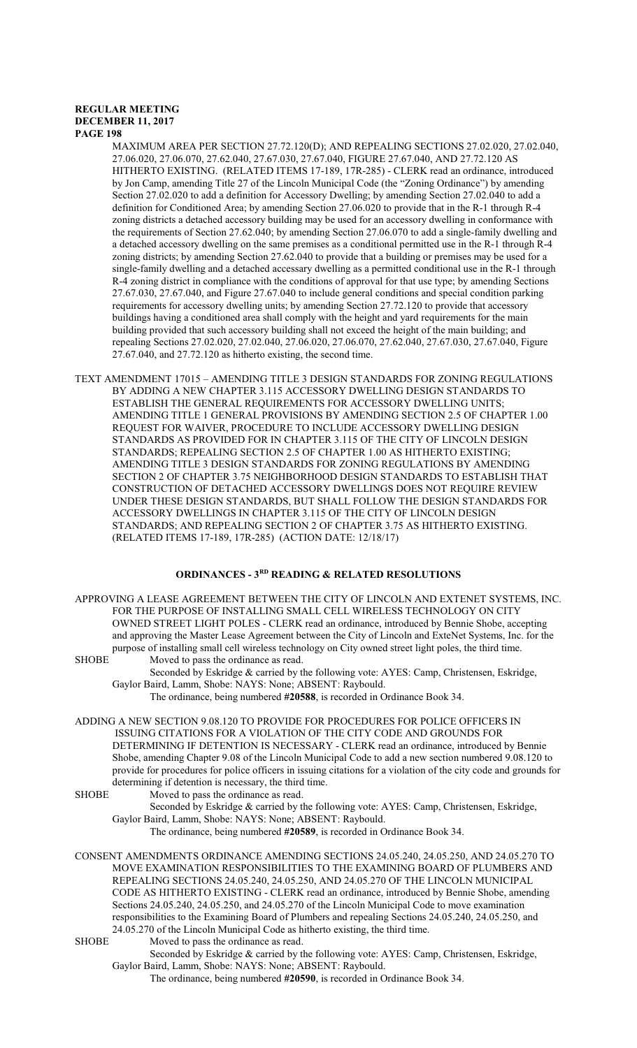MAXIMUM AREA PER SECTION 27.72.120(D); AND REPEALING SECTIONS 27.02.020, 27.02.040, 27.06.020, 27.06.070, 27.62.040, 27.67.030, 27.67.040, FIGURE 27.67.040, AND 27.72.120 AS HITHERTO EXISTING. (RELATED ITEMS 17-189, 17R-285) - CLERK read an ordinance, introduced by Jon Camp, amending Title 27 of the Lincoln Municipal Code (the "Zoning Ordinance") by amending Section 27.02.020 to add a definition for Accessory Dwelling; by amending Section 27.02.040 to add a definition for Conditioned Area; by amending Section 27.06.020 to provide that in the R-1 through R-4 zoning districts a detached accessory building may be used for an accessory dwelling in conformance with the requirements of Section 27.62.040; by amending Section 27.06.070 to add a single-family dwelling and a detached accessory dwelling on the same premises as a conditional permitted use in the R-1 through R-4 zoning districts; by amending Section 27.62.040 to provide that a building or premises may be used for a single-family dwelling and a detached accessary dwelling as a permitted conditional use in the R-1 through R-4 zoning district in compliance with the conditions of approval for that use type; by amending Sections 27.67.030, 27.67.040, and Figure 27.67.040 to include general conditions and special condition parking requirements for accessory dwelling units; by amending Section 27.72.120 to provide that accessory buildings having a conditioned area shall comply with the height and yard requirements for the main building provided that such accessory building shall not exceed the height of the main building; and repealing Sections 27.02.020, 27.02.040, 27.06.020, 27.06.070, 27.62.040, 27.67.030, 27.67.040, Figure 27.67.040, and 27.72.120 as hitherto existing, the second time.

TEXT AMENDMENT 17015 – AMENDING TITLE 3 DESIGN STANDARDS FOR ZONING REGULATIONS BY ADDING A NEW CHAPTER 3.115 ACCESSORY DWELLING DESIGN STANDARDS TO ESTABLISH THE GENERAL REQUIREMENTS FOR ACCESSORY DWELLING UNITS; AMENDING TITLE 1 GENERAL PROVISIONS BY AMENDING SECTION 2.5 OF CHAPTER 1.00 REQUEST FOR WAIVER, PROCEDURE TO INCLUDE ACCESSORY DWELLING DESIGN STANDARDS AS PROVIDED FOR IN CHAPTER 3.115 OF THE CITY OF LINCOLN DESIGN STANDARDS; REPEALING SECTION 2.5 OF CHAPTER 1.00 AS HITHERTO EXISTING; AMENDING TITLE 3 DESIGN STANDARDS FOR ZONING REGULATIONS BY AMENDING SECTION 2 OF CHAPTER 3.75 NEIGHBORHOOD DESIGN STANDARDS TO ESTABLISH THAT CONSTRUCTION OF DETACHED ACCESSORY DWELLINGS DOES NOT REQUIRE REVIEW UNDER THESE DESIGN STANDARDS, BUT SHALL FOLLOW THE DESIGN STANDARDS FOR ACCESSORY DWELLINGS IN CHAPTER 3.115 OF THE CITY OF LINCOLN DESIGN STANDARDS; AND REPEALING SECTION 2 OF CHAPTER 3.75 AS HITHERTO EXISTING. (RELATED ITEMS 17-189, 17R-285) (ACTION DATE: 12/18/17)

# **ORDINANCES - 3RD READING & RELATED RESOLUTIONS**

APPROVING A LEASE AGREEMENT BETWEEN THE CITY OF LINCOLN AND EXTENET SYSTEMS, INC. FOR THE PURPOSE OF INSTALLING SMALL CELL WIRELESS TECHNOLOGY ON CITY OWNED STREET LIGHT POLES - CLERK read an ordinance, introduced by Bennie Shobe, accepting and approving the Master Lease Agreement between the City of Lincoln and ExteNet Systems, Inc. for the purpose of installing small cell wireless technology on City owned street light poles, the third time. SHOBE Moved to pass the ordinance as read.

Seconded by Eskridge & carried by the following vote: AYES: Camp, Christensen, Eskridge, Gaylor Baird, Lamm, Shobe: NAYS: None; ABSENT: Raybould.

The ordinance, being numbered **#20588**, is recorded in Ordinance Book 34.

ADDING A NEW SECTION 9.08.120 TO PROVIDE FOR PROCEDURES FOR POLICE OFFICERS IN ISSUING CITATIONS FOR A VIOLATION OF THE CITY CODE AND GROUNDS FOR DETERMINING IF DETENTION IS NECESSARY - CLERK read an ordinance, introduced by Bennie Shobe, amending Chapter 9.08 of the Lincoln Municipal Code to add a new section numbered 9.08.120 to provide for procedures for police officers in issuing citations for a violation of the city code and grounds for determining if detention is necessary, the third time.

SHOBE Moved to pass the ordinance as read. Seconded by Eskridge & carried by the following vote: AYES: Camp, Christensen, Eskridge, Gaylor Baird, Lamm, Shobe: NAYS: None; ABSENT: Raybould. The ordinance, being numbered **#20589**, is recorded in Ordinance Book 34.

CONSENT AMENDMENTS ORDINANCE AMENDING SECTIONS 24.05.240, 24.05.250, AND 24.05.270 TO MOVE EXAMINATION RESPONSIBILITIES TO THE EXAMINING BOARD OF PLUMBERS AND REPEALING SECTIONS 24.05.240, 24.05.250, AND 24.05.270 OF THE LINCOLN MUNICIPAL CODE AS HITHERTO EXISTING - CLERK read an ordinance, introduced by Bennie Shobe, amending Sections 24.05.240, 24.05.250, and 24.05.270 of the Lincoln Municipal Code to move examination responsibilities to the Examining Board of Plumbers and repealing Sections 24.05.240, 24.05.250, and 24.05.270 of the Lincoln Municipal Code as hitherto existing, the third time.

SHOBE Moved to pass the ordinance as read.

Seconded by Eskridge & carried by the following vote: AYES: Camp, Christensen, Eskridge, Gaylor Baird, Lamm, Shobe: NAYS: None; ABSENT: Raybould.

The ordinance, being numbered **#20590**, is recorded in Ordinance Book 34.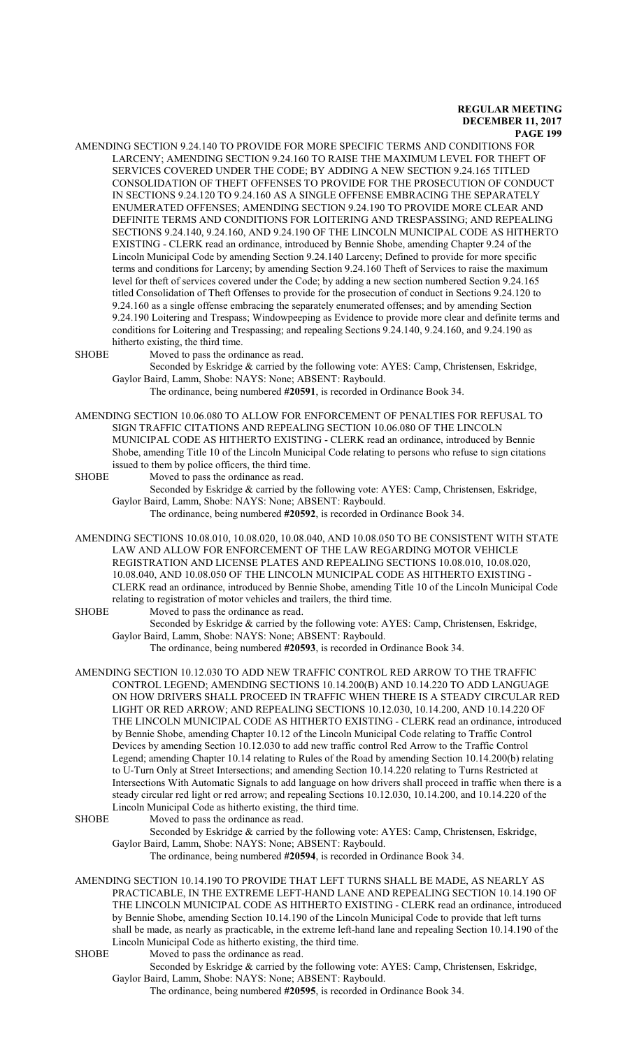AMENDING SECTION 9.24.140 TO PROVIDE FOR MORE SPECIFIC TERMS AND CONDITIONS FOR LARCENY; AMENDING SECTION 9.24.160 TO RAISE THE MAXIMUM LEVEL FOR THEFT OF SERVICES COVERED UNDER THE CODE; BY ADDING A NEW SECTION 9.24.165 TITLED CONSOLIDATION OF THEFT OFFENSES TO PROVIDE FOR THE PROSECUTION OF CONDUCT IN SECTIONS 9.24.120 TO 9.24.160 AS A SINGLE OFFENSE EMBRACING THE SEPARATELY ENUMERATED OFFENSES; AMENDING SECTION 9.24.190 TO PROVIDE MORE CLEAR AND DEFINITE TERMS AND CONDITIONS FOR LOITERING AND TRESPASSING; AND REPEALING SECTIONS 9.24.140, 9.24.160, AND 9.24.190 OF THE LINCOLN MUNICIPAL CODE AS HITHERTO EXISTING - CLERK read an ordinance, introduced by Bennie Shobe, amending Chapter 9.24 of the Lincoln Municipal Code by amending Section 9.24.140 Larceny; Defined to provide for more specific terms and conditions for Larceny; by amending Section 9.24.160 Theft of Services to raise the maximum level for theft of services covered under the Code; by adding a new section numbered Section 9.24.165 titled Consolidation of Theft Offenses to provide for the prosecution of conduct in Sections 9.24.120 to 9.24.160 as a single offense embracing the separately enumerated offenses; and by amending Section 9.24.190 Loitering and Trespass; Windowpeeping as Evidence to provide more clear and definite terms and conditions for Loitering and Trespassing; and repealing Sections 9.24.140, 9.24.160, and 9.24.190 as hitherto existing, the third time.

SHOBE Moved to pass the ordinance as read.

Seconded by Eskridge & carried by the following vote: AYES: Camp, Christensen, Eskridge, Gaylor Baird, Lamm, Shobe: NAYS: None; ABSENT: Raybould.

The ordinance, being numbered **#20591**, is recorded in Ordinance Book 34.

AMENDING SECTION 10.06.080 TO ALLOW FOR ENFORCEMENT OF PENALTIES FOR REFUSAL TO SIGN TRAFFIC CITATIONS AND REPEALING SECTION 10.06.080 OF THE LINCOLN MUNICIPAL CODE AS HITHERTO EXISTING - CLERK read an ordinance, introduced by Bennie Shobe, amending Title 10 of the Lincoln Municipal Code relating to persons who refuse to sign citations issued to them by police officers, the third time.

SHOBE Moved to pass the ordinance as read.

Seconded by Eskridge & carried by the following vote: AYES: Camp, Christensen, Eskridge, Gaylor Baird, Lamm, Shobe: NAYS: None; ABSENT: Raybould.

The ordinance, being numbered **#20592**, is recorded in Ordinance Book 34.

AMENDING SECTIONS 10.08.010, 10.08.020, 10.08.040, AND 10.08.050 TO BE CONSISTENT WITH STATE LAW AND ALLOW FOR ENFORCEMENT OF THE LAW REGARDING MOTOR VEHICLE REGISTRATION AND LICENSE PLATES AND REPEALING SECTIONS 10.08.010, 10.08.020, 10.08.040, AND 10.08.050 OF THE LINCOLN MUNICIPAL CODE AS HITHERTO EXISTING - CLERK read an ordinance, introduced by Bennie Shobe, amending Title 10 of the Lincoln Municipal Code relating to registration of motor vehicles and trailers, the third time.

SHOBE Moved to pass the ordinance as read.

Seconded by Eskridge & carried by the following vote: AYES: Camp, Christensen, Eskridge, Gaylor Baird, Lamm, Shobe: NAYS: None; ABSENT: Raybould.

The ordinance, being numbered **#20593**, is recorded in Ordinance Book 34.

AMENDING SECTION 10.12.030 TO ADD NEW TRAFFIC CONTROL RED ARROW TO THE TRAFFIC CONTROL LEGEND; AMENDING SECTIONS 10.14.200(B) AND 10.14.220 TO ADD LANGUAGE ON HOW DRIVERS SHALL PROCEED IN TRAFFIC WHEN THERE IS A STEADY CIRCULAR RED LIGHT OR RED ARROW; AND REPEALING SECTIONS 10.12.030, 10.14.200, AND 10.14.220 OF THE LINCOLN MUNICIPAL CODE AS HITHERTO EXISTING - CLERK read an ordinance, introduced by Bennie Shobe, amending Chapter 10.12 of the Lincoln Municipal Code relating to Traffic Control Devices by amending Section 10.12.030 to add new traffic control Red Arrow to the Traffic Control Legend; amending Chapter 10.14 relating to Rules of the Road by amending Section 10.14.200(b) relating to U-Turn Only at Street Intersections; and amending Section 10.14.220 relating to Turns Restricted at Intersections With Automatic Signals to add language on how drivers shall proceed in traffic when there is a steady circular red light or red arrow; and repealing Sections 10.12.030, 10.14.200, and 10.14.220 of the Lincoln Municipal Code as hitherto existing, the third time.

SHOBE Moved to pass the ordinance as read.

Seconded by Eskridge & carried by the following vote: AYES: Camp, Christensen, Eskridge, Gaylor Baird, Lamm, Shobe: NAYS: None; ABSENT: Raybould. The ordinance, being numbered **#20594**, is recorded in Ordinance Book 34.

AMENDING SECTION 10.14.190 TO PROVIDE THAT LEFT TURNS SHALL BE MADE, AS NEARLY AS PRACTICABLE, IN THE EXTREME LEFT-HAND LANE AND REPEALING SECTION 10.14.190 OF THE LINCOLN MUNICIPAL CODE AS HITHERTO EXISTING - CLERK read an ordinance, introduced by Bennie Shobe, amending Section 10.14.190 of the Lincoln Municipal Code to provide that left turns shall be made, as nearly as practicable, in the extreme left-hand lane and repealing Section 10.14.190 of the Lincoln Municipal Code as hitherto existing, the third time.

SHOBE Moved to pass the ordinance as read.

Seconded by Eskridge & carried by the following vote: AYES: Camp, Christensen, Eskridge, Gaylor Baird, Lamm, Shobe: NAYS: None; ABSENT: Raybould.

The ordinance, being numbered **#20595**, is recorded in Ordinance Book 34.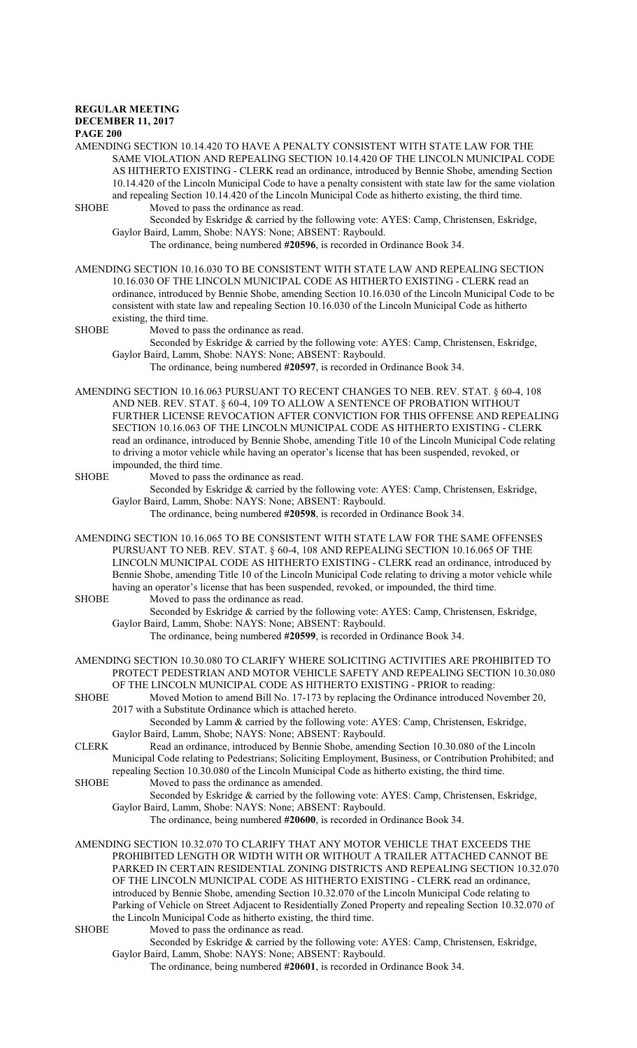#### **REGULAR MEETING DECEMBER 11, 2017**

# **PAGE 200**

AMENDING SECTION 10.14.420 TO HAVE A PENALTY CONSISTENT WITH STATE LAW FOR THE SAME VIOLATION AND REPEALING SECTION 10.14.420 OF THE LINCOLN MUNICIPAL CODE AS HITHERTO EXISTING - CLERK read an ordinance, introduced by Bennie Shobe, amending Section 10.14.420 of the Lincoln Municipal Code to have a penalty consistent with state law for the same violation and repealing Section 10.14.420 of the Lincoln Municipal Code as hitherto existing, the third time. SHOBE Moved to pass the ordinance as read.

Seconded by Eskridge & carried by the following vote: AYES: Camp, Christensen, Eskridge, Gaylor Baird, Lamm, Shobe: NAYS: None; ABSENT: Raybould.

The ordinance, being numbered **#20596**, is recorded in Ordinance Book 34.

AMENDING SECTION 10.16.030 TO BE CONSISTENT WITH STATE LAW AND REPEALING SECTION 10.16.030 OF THE LINCOLN MUNICIPAL CODE AS HITHERTO EXISTING - CLERK read an ordinance, introduced by Bennie Shobe, amending Section 10.16.030 of the Lincoln Municipal Code to be consistent with state law and repealing Section 10.16.030 of the Lincoln Municipal Code as hitherto existing, the third time.

SHOBE Moved to pass the ordinance as read.

Seconded by Eskridge & carried by the following vote: AYES: Camp, Christensen, Eskridge, Gaylor Baird, Lamm, Shobe: NAYS: None; ABSENT: Raybould.

The ordinance, being numbered **#20597**, is recorded in Ordinance Book 34.

AMENDING SECTION 10.16.063 PURSUANT TO RECENT CHANGES TO NEB. REV. STAT. § 60-4, 108 AND NEB. REV. STAT. § 60-4, 109 TO ALLOW A SENTENCE OF PROBATION WITHOUT FURTHER LICENSE REVOCATION AFTER CONVICTION FOR THIS OFFENSE AND REPEALING SECTION 10.16.063 OF THE LINCOLN MUNICIPAL CODE AS HITHERTO EXISTING - CLERK read an ordinance, introduced by Bennie Shobe, amending Title 10 of the Lincoln Municipal Code relating to driving a motor vehicle while having an operator's license that has been suspended, revoked, or impounded, the third time.

SHOBE Moved to pass the ordinance as read.

Seconded by Eskridge & carried by the following vote: AYES: Camp, Christensen, Eskridge, Gaylor Baird, Lamm, Shobe: NAYS: None; ABSENT: Raybould.

The ordinance, being numbered **#20598**, is recorded in Ordinance Book 34.

AMENDING SECTION 10.16.065 TO BE CONSISTENT WITH STATE LAW FOR THE SAME OFFENSES PURSUANT TO NEB. REV. STAT. § 60-4, 108 AND REPEALING SECTION 10.16.065 OF THE LINCOLN MUNICIPAL CODE AS HITHERTO EXISTING - CLERK read an ordinance, introduced by Bennie Shobe, amending Title 10 of the Lincoln Municipal Code relating to driving a motor vehicle while having an operator's license that has been suspended, revoked, or impounded, the third time.

# SHOBE Moved to pass the ordinance as read.

Seconded by Eskridge & carried by the following vote: AYES: Camp, Christensen, Eskridge, Gaylor Baird, Lamm, Shobe: NAYS: None; ABSENT: Raybould.

The ordinance, being numbered **#20599**, is recorded in Ordinance Book 34.

AMENDING SECTION 10.30.080 TO CLARIFY WHERE SOLICITING ACTIVITIES ARE PROHIBITED TO PROTECT PEDESTRIAN AND MOTOR VEHICLE SAFETY AND REPEALING SECTION 10.30.080 OF THE LINCOLN MUNICIPAL CODE AS HITHERTO EXISTING - PRIOR to reading:

SHOBE Moved Motion to amend Bill No. 17-173 by replacing the Ordinance introduced November 20, 2017 with a Substitute Ordinance which is attached hereto.

Seconded by Lamm & carried by the following vote: AYES: Camp, Christensen, Eskridge, Gaylor Baird, Lamm, Shobe; NAYS: None; ABSENT: Raybould.

CLERK Read an ordinance, introduced by Bennie Shobe, amending Section 10.30.080 of the Lincoln Municipal Code relating to Pedestrians; Soliciting Employment, Business, or Contribution Prohibited; and repealing Section 10.30.080 of the Lincoln Municipal Code as hitherto existing, the third time.

SHOBE Moved to pass the ordinance as amended.

Seconded by Eskridge & carried by the following vote: AYES: Camp, Christensen, Eskridge, Gaylor Baird, Lamm, Shobe: NAYS: None; ABSENT: Raybould.

The ordinance, being numbered **#20600**, is recorded in Ordinance Book 34.

AMENDING SECTION 10.32.070 TO CLARIFY THAT ANY MOTOR VEHICLE THAT EXCEEDS THE PROHIBITED LENGTH OR WIDTH WITH OR WITHOUT A TRAILER ATTACHED CANNOT BE PARKED IN CERTAIN RESIDENTIAL ZONING DISTRICTS AND REPEALING SECTION 10.32.070 OF THE LINCOLN MUNICIPAL CODE AS HITHERTO EXISTING - CLERK read an ordinance, introduced by Bennie Shobe, amending Section 10.32.070 of the Lincoln Municipal Code relating to Parking of Vehicle on Street Adjacent to Residentially Zoned Property and repealing Section 10.32.070 of the Lincoln Municipal Code as hitherto existing, the third time.

SHOBE Moved to pass the ordinance as read.

Seconded by Eskridge & carried by the following vote: AYES: Camp, Christensen, Eskridge, Gaylor Baird, Lamm, Shobe: NAYS: None; ABSENT: Raybould.

The ordinance, being numbered **#20601**, is recorded in Ordinance Book 34.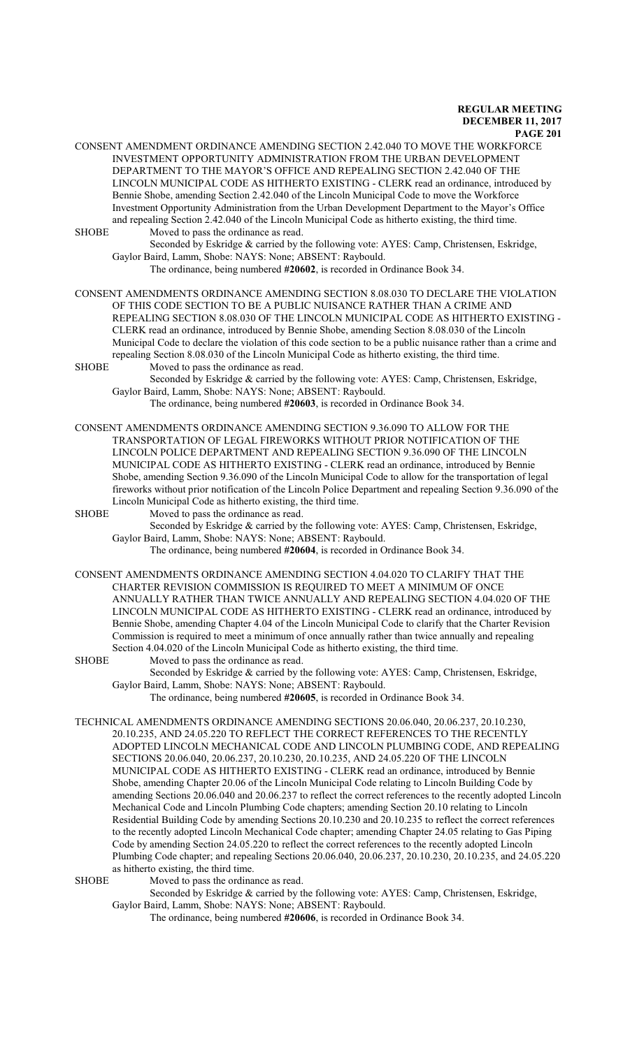| <b>SHOBE</b> | CONSENT AMENDMENT ORDINANCE AMENDING SECTION 2.42.040 TO MOVE THE WORKFORCE<br>INVESTMENT OPPORTUNITY ADMINISTRATION FROM THE URBAN DEVELOPMENT<br>DEPARTMENT TO THE MAYOR'S OFFICE AND REPEALING SECTION 2.42.040 OF THE<br>LINCOLN MUNICIPAL CODE AS HITHERTO EXISTING - CLERK read an ordinance, introduced by<br>Bennie Shobe, amending Section 2.42.040 of the Lincoln Municipal Code to move the Workforce<br>Investment Opportunity Administration from the Urban Development Department to the Mayor's Office<br>and repealing Section 2.42.040 of the Lincoln Municipal Code as hitherto existing, the third time.<br>Moved to pass the ordinance as read.<br>Seconded by Eskridge & carried by the following vote: AYES: Camp, Christensen, Eskridge, |
|--------------|-----------------------------------------------------------------------------------------------------------------------------------------------------------------------------------------------------------------------------------------------------------------------------------------------------------------------------------------------------------------------------------------------------------------------------------------------------------------------------------------------------------------------------------------------------------------------------------------------------------------------------------------------------------------------------------------------------------------------------------------------------------------|
|              | Gaylor Baird, Lamm, Shobe: NAYS: None; ABSENT: Raybould.                                                                                                                                                                                                                                                                                                                                                                                                                                                                                                                                                                                                                                                                                                        |
|              | The ordinance, being numbered #20602, is recorded in Ordinance Book 34.                                                                                                                                                                                                                                                                                                                                                                                                                                                                                                                                                                                                                                                                                         |
|              | CONSENT AMENDMENTS ORDINANCE AMENDING SECTION 8.08.030 TO DECLARE THE VIOLATION<br>OF THIS CODE SECTION TO BE A PUBLIC NUISANCE RATHER THAN A CRIME AND<br>REPEALING SECTION 8.08.030 OF THE LINCOLN MUNICIPAL CODE AS HITHERTO EXISTING -<br>CLERK read an ordinance, introduced by Bennie Shobe, amending Section 8.08.030 of the Lincoln<br>Municipal Code to declare the violation of this code section to be a public nuisance rather than a crime and<br>repealing Section 8.08.030 of the Lincoln Municipal Code as hitherto existing, the third time.                                                                                                                                                                                                   |
| <b>SHOBE</b> | Moved to pass the ordinance as read.                                                                                                                                                                                                                                                                                                                                                                                                                                                                                                                                                                                                                                                                                                                            |
|              | Seconded by Eskridge & carried by the following vote: AYES: Camp, Christensen, Eskridge,<br>Gaylor Baird, Lamm, Shobe: NAYS: None; ABSENT: Raybould.                                                                                                                                                                                                                                                                                                                                                                                                                                                                                                                                                                                                            |
|              | The ordinance, being numbered #20603, is recorded in Ordinance Book 34.                                                                                                                                                                                                                                                                                                                                                                                                                                                                                                                                                                                                                                                                                         |
|              | CONSENT AMENDMENTS ORDINANCE AMENDING SECTION 9.36.090 TO ALLOW FOR THE<br>TRANSPORTATION OF LEGAL FIREWORKS WITHOUT PRIOR NOTIFICATION OF THE<br>LINCOLN POLICE DEPARTMENT AND REPEALING SECTION 9.36.090 OF THE LINCOLN<br>MUNICIPAL CODE AS HITHERTO EXISTING - CLERK read an ordinance, introduced by Bennie<br>Shobe, amending Section 9.36.090 of the Lincoln Municipal Code to allow for the transportation of legal<br>fireworks without prior notification of the Lincoln Police Department and repealing Section 9.36.090 of the<br>Lincoln Municipal Code as hitherto existing, the third time.                                                                                                                                                      |
| <b>SHOBE</b> | Moved to pass the ordinance as read.                                                                                                                                                                                                                                                                                                                                                                                                                                                                                                                                                                                                                                                                                                                            |
|              | Seconded by Eskridge & carried by the following vote: AYES: Camp, Christensen, Eskridge,                                                                                                                                                                                                                                                                                                                                                                                                                                                                                                                                                                                                                                                                        |
|              | Gaylor Baird, Lamm, Shobe: NAYS: None; ABSENT: Raybould.<br>The ordinance, being numbered #20604, is recorded in Ordinance Book 34.                                                                                                                                                                                                                                                                                                                                                                                                                                                                                                                                                                                                                             |
|              | CONSENT AMENDMENTS ORDINANCE AMENDING SECTION 4.04.020 TO CLARIFY THAT THE<br>CHARTER REVISION COMMISSION IS REQUIRED TO MEET A MINIMUM OF ONCE                                                                                                                                                                                                                                                                                                                                                                                                                                                                                                                                                                                                                 |

CHARTER REVISION COMMISSION IS REQUIRED TO MEET A MINIMUM OF 0 ANNUALLY RATHER THAN TWICE ANNUALLY AND REPEALING SECTION 4.04.020 OF THE LINCOLN MUNICIPAL CODE AS HITHERTO EXISTING - CLERK read an ordinance, introduced by Bennie Shobe, amending Chapter 4.04 of the Lincoln Municipal Code to clarify that the Charter Revision Commission is required to meet a minimum of once annually rather than twice annually and repealing Section 4.04.020 of the Lincoln Municipal Code as hitherto existing, the third time.

SHOBE Moved to pass the ordinance as read. Seconded by Eskridge & carried by the following vote: AYES: Camp, Christensen, Eskridge, Gaylor Baird, Lamm, Shobe: NAYS: None; ABSENT: Raybould.

The ordinance, being numbered **#20605**, is recorded in Ordinance Book 34.

TECHNICAL AMENDMENTS ORDINANCE AMENDING SECTIONS 20.06.040, 20.06.237, 20.10.230, 20.10.235, AND 24.05.220 TO REFLECT THE CORRECT REFERENCES TO THE RECENTLY ADOPTED LINCOLN MECHANICAL CODE AND LINCOLN PLUMBING CODE, AND REPEALING SECTIONS 20.06.040, 20.06.237, 20.10.230, 20.10.235, AND 24.05.220 OF THE LINCOLN MUNICIPAL CODE AS HITHERTO EXISTING - CLERK read an ordinance, introduced by Bennie Shobe, amending Chapter 20.06 of the Lincoln Municipal Code relating to Lincoln Building Code by amending Sections 20.06.040 and 20.06.237 to reflect the correct references to the recently adopted Lincoln Mechanical Code and Lincoln Plumbing Code chapters; amending Section 20.10 relating to Lincoln Residential Building Code by amending Sections 20.10.230 and 20.10.235 to reflect the correct references to the recently adopted Lincoln Mechanical Code chapter; amending Chapter 24.05 relating to Gas Piping Code by amending Section 24.05.220 to reflect the correct references to the recently adopted Lincoln Plumbing Code chapter; and repealing Sections 20.06.040, 20.06.237, 20.10.230, 20.10.235, and 24.05.220 as hitherto existing, the third time.

SHOBE Moved to pass the ordinance as read.

Seconded by Eskridge & carried by the following vote: AYES: Camp, Christensen, Eskridge, Gaylor Baird, Lamm, Shobe: NAYS: None; ABSENT: Raybould.

The ordinance, being numbered **#20606**, is recorded in Ordinance Book 34.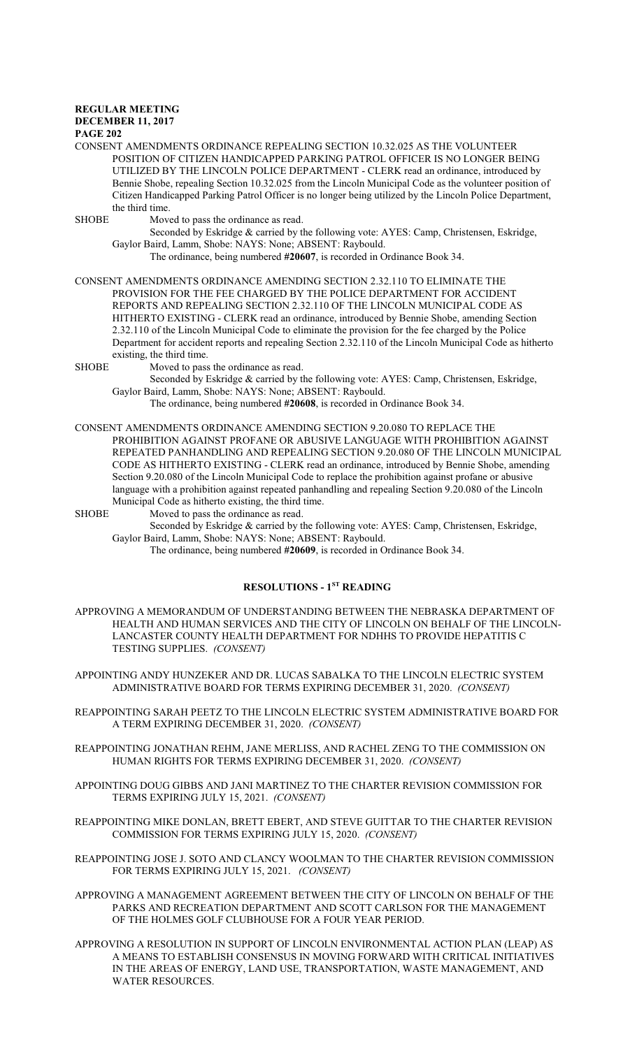#### **REGULAR MEETING DECEMBER 11, 2017**

### **PAGE 202**

CONSENT AMENDMENTS ORDINANCE REPEALING SECTION 10.32.025 AS THE VOLUNTEER POSITION OF CITIZEN HANDICAPPED PARKING PATROL OFFICER IS NO LONGER BEING UTILIZED BY THE LINCOLN POLICE DEPARTMENT - CLERK read an ordinance, introduced by Bennie Shobe, repealing Section 10.32.025 from the Lincoln Municipal Code as the volunteer position of Citizen Handicapped Parking Patrol Officer is no longer being utilized by the Lincoln Police Department, the third time.

SHOBE Moved to pass the ordinance as read.

Seconded by Eskridge & carried by the following vote: AYES: Camp, Christensen, Eskridge, Gaylor Baird, Lamm, Shobe: NAYS: None; ABSENT: Raybould.

The ordinance, being numbered **#20607**, is recorded in Ordinance Book 34.

CONSENT AMENDMENTS ORDINANCE AMENDING SECTION 2.32.110 TO ELIMINATE THE PROVISION FOR THE FEE CHARGED BY THE POLICE DEPARTMENT FOR ACCIDENT REPORTS AND REPEALING SECTION 2.32.110 OF THE LINCOLN MUNICIPAL CODE AS HITHERTO EXISTING - CLERK read an ordinance, introduced by Bennie Shobe, amending Section 2.32.110 of the Lincoln Municipal Code to eliminate the provision for the fee charged by the Police Department for accident reports and repealing Section 2.32.110 of the Lincoln Municipal Code as hitherto existing, the third time.

SHOBE Moved to pass the ordinance as read.

Seconded by Eskridge & carried by the following vote: AYES: Camp, Christensen, Eskridge, Gaylor Baird, Lamm, Shobe: NAYS: None; ABSENT: Raybould.

The ordinance, being numbered **#20608**, is recorded in Ordinance Book 34.

CONSENT AMENDMENTS ORDINANCE AMENDING SECTION 9.20.080 TO REPLACE THE PROHIBITION AGAINST PROFANE OR ABUSIVE LANGUAGE WITH PROHIBITION AGAINST REPEATED PANHANDLING AND REPEALING SECTION 9.20.080 OF THE LINCOLN MUNICIPAL CODE AS HITHERTO EXISTING - CLERK read an ordinance, introduced by Bennie Shobe, amending Section 9.20.080 of the Lincoln Municipal Code to replace the prohibition against profane or abusive language with a prohibition against repeated panhandling and repealing Section 9.20.080 of the Lincoln Municipal Code as hitherto existing, the third time.

SHOBE Moved to pass the ordinance as read.

Seconded by Eskridge & carried by the following vote: AYES: Camp, Christensen, Eskridge, Gaylor Baird, Lamm, Shobe: NAYS: None; ABSENT: Raybould.

The ordinance, being numbered **#20609**, is recorded in Ordinance Book 34.

## **RESOLUTIONS - 1ST READING**

APPROVING A MEMORANDUM OF UNDERSTANDING BETWEEN THE NEBRASKA DEPARTMENT OF HEALTH AND HUMAN SERVICES AND THE CITY OF LINCOLN ON BEHALF OF THE LINCOLN-LANCASTER COUNTY HEALTH DEPARTMENT FOR NDHHS TO PROVIDE HEPATITIS C TESTING SUPPLIES. *(CONSENT)*

APPOINTING ANDY HUNZEKER AND DR. LUCAS SABALKA TO THE LINCOLN ELECTRIC SYSTEM ADMINISTRATIVE BOARD FOR TERMS EXPIRING DECEMBER 31, 2020. *(CONSENT)*

REAPPOINTING SARAH PEETZ TO THE LINCOLN ELECTRIC SYSTEM ADMINISTRATIVE BOARD FOR A TERM EXPIRING DECEMBER 31, 2020. *(CONSENT)*

REAPPOINTING JONATHAN REHM, JANE MERLISS, AND RACHEL ZENG TO THE COMMISSION ON HUMAN RIGHTS FOR TERMS EXPIRING DECEMBER 31, 2020. *(CONSENT)*

APPOINTING DOUG GIBBS AND JANI MARTINEZ TO THE CHARTER REVISION COMMISSION FOR TERMS EXPIRING JULY 15, 2021. *(CONSENT)*

REAPPOINTING MIKE DONLAN, BRETT EBERT, AND STEVE GUITTAR TO THE CHARTER REVISION COMMISSION FOR TERMS EXPIRING JULY 15, 2020. *(CONSENT)*

REAPPOINTING JOSE J. SOTO AND CLANCY WOOLMAN TO THE CHARTER REVISION COMMISSION FOR TERMS EXPIRING JULY 15, 2021. *(CONSENT)*

- APPROVING A MANAGEMENT AGREEMENT BETWEEN THE CITY OF LINCOLN ON BEHALF OF THE PARKS AND RECREATION DEPARTMENT AND SCOTT CARLSON FOR THE MANAGEMENT OF THE HOLMES GOLF CLUBHOUSE FOR A FOUR YEAR PERIOD.
- APPROVING A RESOLUTION IN SUPPORT OF LINCOLN ENVIRONMENTAL ACTION PLAN (LEAP) AS A MEANS TO ESTABLISH CONSENSUS IN MOVING FORWARD WITH CRITICAL INITIATIVES IN THE AREAS OF ENERGY, LAND USE, TRANSPORTATION, WASTE MANAGEMENT, AND WATER RESOURCES.